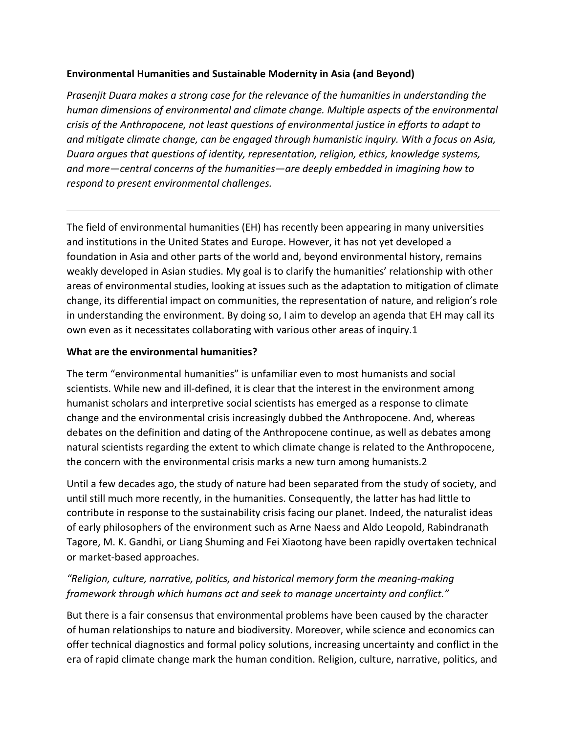### **Environmental Humanities and Sustainable Modernity in Asia (and Beyond)**

*Prasenjit Duara makes a strong case for the relevance of the humanities in understanding the human dimensions of environmental and climate change. Multiple aspects of the environmental crisis* of the Anthropocene, not least questions of environmental justice in efforts to adapt to and mitigate climate change, can be engaged through humanistic inquiry. With a focus on Asia, *Duara argues that questions of identity, representation, religion, ethics, knowledge systems,* and more—central concerns of the humanities—are deeply embedded in imagining how to *respond to present environmental challenges.* 

The field of environmental humanities (EH) has recently been appearing in many universities and institutions in the United States and Europe. However, it has not yet developed a foundation in Asia and other parts of the world and, beyond environmental history, remains weakly developed in Asian studies. My goal is to clarify the humanities' relationship with other areas of environmental studies, looking at issues such as the adaptation to mitigation of climate change, its differential impact on communities, the representation of nature, and religion's role in understanding the environment. By doing so, I aim to develop an agenda that EH may call its own even as it necessitates collaborating with various other areas of inquiry.1

### **What are the environmental humanities?**

The term "environmental humanities" is unfamiliar even to most humanists and social scientists. While new and ill-defined, it is clear that the interest in the environment among humanist scholars and interpretive social scientists has emerged as a response to climate change and the environmental crisis increasingly dubbed the Anthropocene. And, whereas debates on the definition and dating of the Anthropocene continue, as well as debates among natural scientists regarding the extent to which climate change is related to the Anthropocene, the concern with the environmental crisis marks a new turn among humanists.2

Until a few decades ago, the study of nature had been separated from the study of society, and until still much more recently, in the humanities. Consequently, the latter has had little to contribute in response to the sustainability crisis facing our planet. Indeed, the naturalist ideas of early philosophers of the environment such as Arne Naess and Aldo Leopold, Rabindranath Tagore, M. K. Gandhi, or Liang Shuming and Fei Xiaotong have been rapidly overtaken technical or market-based approaches.

# *"Religion, culture, narrative, politics, and historical memory form the meaning-making framework through which humans act and seek to manage uncertainty and conflict."*

But there is a fair consensus that environmental problems have been caused by the character of human relationships to nature and biodiversity. Moreover, while science and economics can offer technical diagnostics and formal policy solutions, increasing uncertainty and conflict in the era of rapid climate change mark the human condition. Religion, culture, narrative, politics, and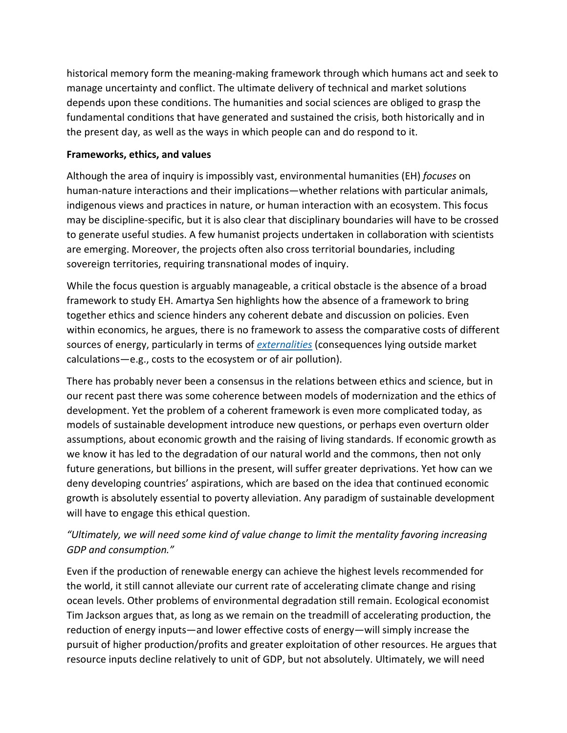historical memory form the meaning-making framework through which humans act and seek to manage uncertainty and conflict. The ultimate delivery of technical and market solutions depends upon these conditions. The humanities and social sciences are obliged to grasp the fundamental conditions that have generated and sustained the crisis, both historically and in the present day, as well as the ways in which people can and do respond to it.

### **Frameworks, ethics, and values**

Although the area of inquiry is impossibly vast, environmental humanities (EH) *focuses* on human-nature interactions and their implications—whether relations with particular animals, indigenous views and practices in nature, or human interaction with an ecosystem. This focus may be discipline-specific, but it is also clear that disciplinary boundaries will have to be crossed to generate useful studies. A few humanist projects undertaken in collaboration with scientists are emerging. Moreover, the projects often also cross territorial boundaries, including sovereign territories, requiring transnational modes of inquiry.

While the focus question is arguably manageable, a critical obstacle is the absence of a broad framework to study EH. Amartya Sen highlights how the absence of a framework to bring together ethics and science hinders any coherent debate and discussion on policies. Even within economics, he argues, there is no framework to assess the comparative costs of different sources of energy, particularly in terms of *externalities* (consequences lying outside market calculations—e.g., costs to the ecosystem or of air pollution).

There has probably never been a consensus in the relations between ethics and science, but in our recent past there was some coherence between models of modernization and the ethics of development. Yet the problem of a coherent framework is even more complicated today, as models of sustainable development introduce new questions, or perhaps even overturn older assumptions, about economic growth and the raising of living standards. If economic growth as we know it has led to the degradation of our natural world and the commons, then not only future generations, but billions in the present, will suffer greater deprivations. Yet how can we deny developing countries' aspirations, which are based on the idea that continued economic growth is absolutely essential to poverty alleviation. Any paradigm of sustainable development will have to engage this ethical question.

# "Ultimately, we will need some kind of value change to limit the mentality favoring increasing *GDP and consumption."*

Even if the production of renewable energy can achieve the highest levels recommended for the world, it still cannot alleviate our current rate of accelerating climate change and rising ocean levels. Other problems of environmental degradation still remain. Ecological economist Tim Jackson argues that, as long as we remain on the treadmill of accelerating production, the reduction of energy inputs—and lower effective costs of energy—will simply increase the pursuit of higher production/profits and greater exploitation of other resources. He argues that resource inputs decline relatively to unit of GDP, but not absolutely. Ultimately, we will need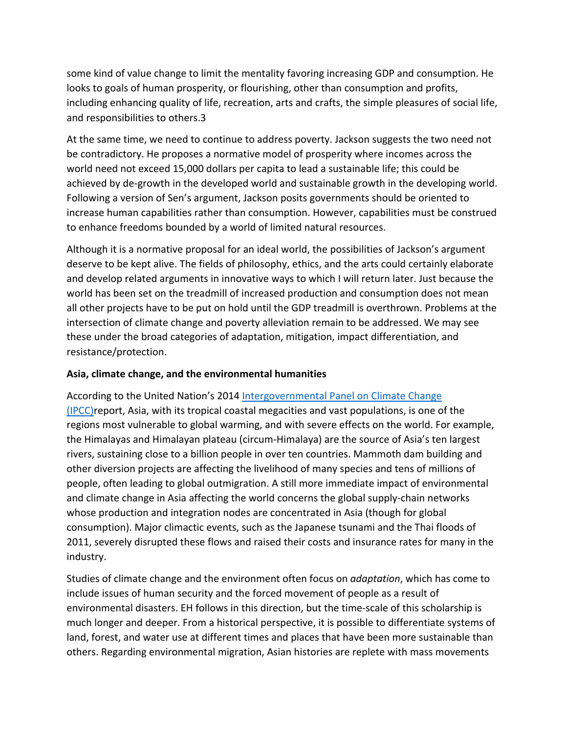some kind of value change to limit the mentality favoring increasing GDP and consumption. He looks to goals of human prosperity, or flourishing, other than consumption and profits, including enhancing quality of life, recreation, arts and crafts, the simple pleasures of social life, and responsibilities to others.3

At the same time, we need to continue to address poverty. Jackson suggests the two need not be contradictory. He proposes a normative model of prosperity where incomes across the world need not exceed 15,000 dollars per capita to lead a sustainable life; this could be achieved by de-growth in the developed world and sustainable growth in the developing world. Following a version of Sen's argument, Jackson posits governments should be oriented to increase human capabilities rather than consumption. However, capabilities must be construed to enhance freedoms bounded by a world of limited natural resources.

Although it is a normative proposal for an ideal world, the possibilities of Jackson's argument deserve to be kept alive. The fields of philosophy, ethics, and the arts could certainly elaborate and develop related arguments in innovative ways to which I will return later. Just because the world has been set on the treadmill of increased production and consumption does not mean all other projects have to be put on hold until the GDP treadmill is overthrown. Problems at the intersection of climate change and poverty alleviation remain to be addressed. We may see these under the broad categories of adaptation, mitigation, impact differentiation, and resistance/protection.

## Asia, climate change, and the environmental humanities

According to the United Nation's 2014 Intergovernmental Panel on Climate Change  $(IPCC)$ report, Asia, with its tropical coastal megacities and vast populations, is one of the regions most vulnerable to global warming, and with severe effects on the world. For example, the Himalayas and Himalayan plateau (circum-Himalaya) are the source of Asia's ten largest rivers, sustaining close to a billion people in over ten countries. Mammoth dam building and other diversion projects are affecting the livelihood of many species and tens of millions of people, often leading to global outmigration. A still more immediate impact of environmental and climate change in Asia affecting the world concerns the global supply-chain networks whose production and integration nodes are concentrated in Asia (though for global consumption). Major climactic events, such as the Japanese tsunami and the Thai floods of 2011, severely disrupted these flows and raised their costs and insurance rates for many in the industry.

Studies of climate change and the environment often focus on *adaptation*, which has come to include issues of human security and the forced movement of people as a result of environmental disasters. EH follows in this direction, but the time-scale of this scholarship is much longer and deeper. From a historical perspective, it is possible to differentiate systems of land, forest, and water use at different times and places that have been more sustainable than others. Regarding environmental migration, Asian histories are replete with mass movements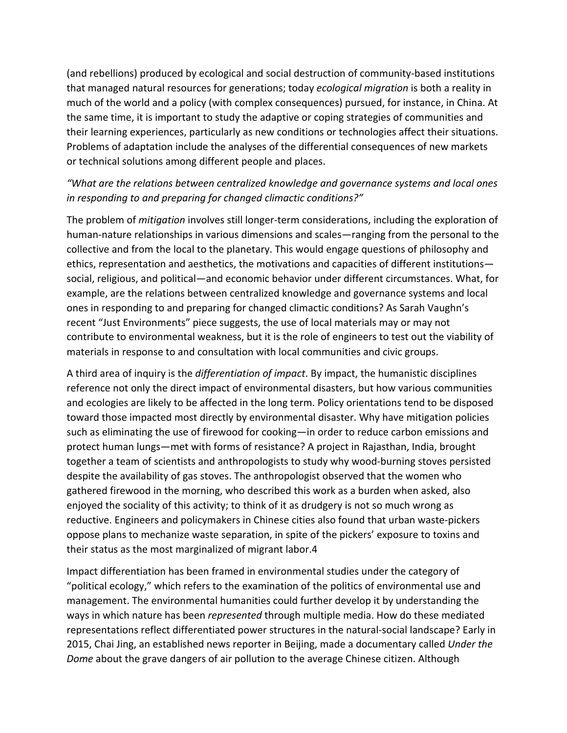(and rebellions) produced by ecological and social destruction of community-based institutions that managed natural resources for generations; today *ecological migration* is both a reality in much of the world and a policy (with complex consequences) pursued, for instance, in China. At the same time, it is important to study the adaptive or coping strategies of communities and their learning experiences, particularly as new conditions or technologies affect their situations. Problems of adaptation include the analyses of the differential consequences of new markets or technical solutions among different people and places.

# "What are the relations between centralized knowledge and governance systems and local ones in responding to and preparing for changed climactic conditions?"

The problem of *mitigation* involves still longer-term considerations, including the exploration of human-nature relationships in various dimensions and scales—ranging from the personal to the collective and from the local to the planetary. This would engage questions of philosophy and ethics, representation and aesthetics, the motivations and capacities of different institutions social, religious, and political—and economic behavior under different circumstances. What, for example, are the relations between centralized knowledge and governance systems and local ones in responding to and preparing for changed climactic conditions? As Sarah Vaughn's recent "Just Environments" piece suggests, the use of local materials may or may not contribute to environmental weakness, but it is the role of engineers to test out the viability of materials in response to and consultation with local communities and civic groups.

A third area of inquiry is the *differentiation of impact*. By impact, the humanistic disciplines reference not only the direct impact of environmental disasters, but how various communities and ecologies are likely to be affected in the long term. Policy orientations tend to be disposed toward those impacted most directly by environmental disaster. Why have mitigation policies such as eliminating the use of firewood for cooking—in order to reduce carbon emissions and protect human lungs—met with forms of resistance? A project in Rajasthan, India, brought together a team of scientists and anthropologists to study why wood-burning stoves persisted despite the availability of gas stoves. The anthropologist observed that the women who gathered firewood in the morning, who described this work as a burden when asked, also enjoyed the sociality of this activity; to think of it as drudgery is not so much wrong as reductive. Engineers and policymakers in Chinese cities also found that urban waste-pickers oppose plans to mechanize waste separation, in spite of the pickers' exposure to toxins and their status as the most marginalized of migrant labor.4

Impact differentiation has been framed in environmental studies under the category of "political ecology," which refers to the examination of the politics of environmental use and management. The environmental humanities could further develop it by understanding the ways in which nature has been *represented* through multiple media. How do these mediated representations reflect differentiated power structures in the natural-social landscape? Early in 2015, Chai Jing, an established news reporter in Beijing, made a documentary called Under the *Dome* about the grave dangers of air pollution to the average Chinese citizen. Although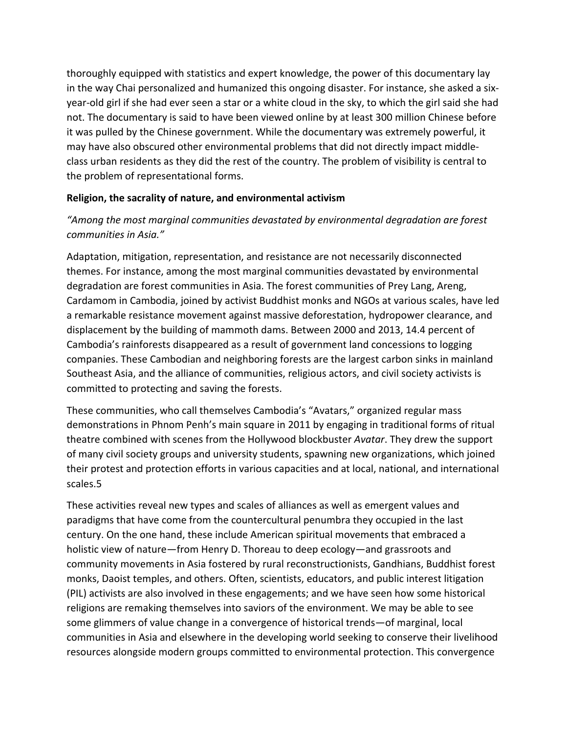thoroughly equipped with statistics and expert knowledge, the power of this documentary lay in the way Chai personalized and humanized this ongoing disaster. For instance, she asked a sixyear-old girl if she had ever seen a star or a white cloud in the sky, to which the girl said she had not. The documentary is said to have been viewed online by at least 300 million Chinese before it was pulled by the Chinese government. While the documentary was extremely powerful, it may have also obscured other environmental problems that did not directly impact middleclass urban residents as they did the rest of the country. The problem of visibility is central to the problem of representational forms.

### **Religion, the sacrality of nature, and environmental activism**

# "Among the most marginal communities devastated by environmental degradation are forest *communities in Asia.*"

Adaptation, mitigation, representation, and resistance are not necessarily disconnected themes. For instance, among the most marginal communities devastated by environmental degradation are forest communities in Asia. The forest communities of Prey Lang, Areng, Cardamom in Cambodia, joined by activist Buddhist monks and NGOs at various scales, have led a remarkable resistance movement against massive deforestation, hydropower clearance, and displacement by the building of mammoth dams. Between 2000 and 2013, 14.4 percent of Cambodia's rainforests disappeared as a result of government land concessions to logging companies. These Cambodian and neighboring forests are the largest carbon sinks in mainland Southeast Asia, and the alliance of communities, religious actors, and civil society activists is committed to protecting and saving the forests.

These communities, who call themselves Cambodia's "Avatars," organized regular mass demonstrations in Phnom Penh's main square in 2011 by engaging in traditional forms of ritual theatre combined with scenes from the Hollywood blockbuster *Avatar*. They drew the support of many civil society groups and university students, spawning new organizations, which joined their protest and protection efforts in various capacities and at local, national, and international scales.5

These activities reveal new types and scales of alliances as well as emergent values and paradigms that have come from the countercultural penumbra they occupied in the last century. On the one hand, these include American spiritual movements that embraced a holistic view of nature—from Henry D. Thoreau to deep ecology—and grassroots and community movements in Asia fostered by rural reconstructionists, Gandhians, Buddhist forest monks, Daoist temples, and others. Often, scientists, educators, and public interest litigation (PIL) activists are also involved in these engagements; and we have seen how some historical religions are remaking themselves into saviors of the environment. We may be able to see some glimmers of value change in a convergence of historical trends—of marginal, local communities in Asia and elsewhere in the developing world seeking to conserve their livelihood resources alongside modern groups committed to environmental protection. This convergence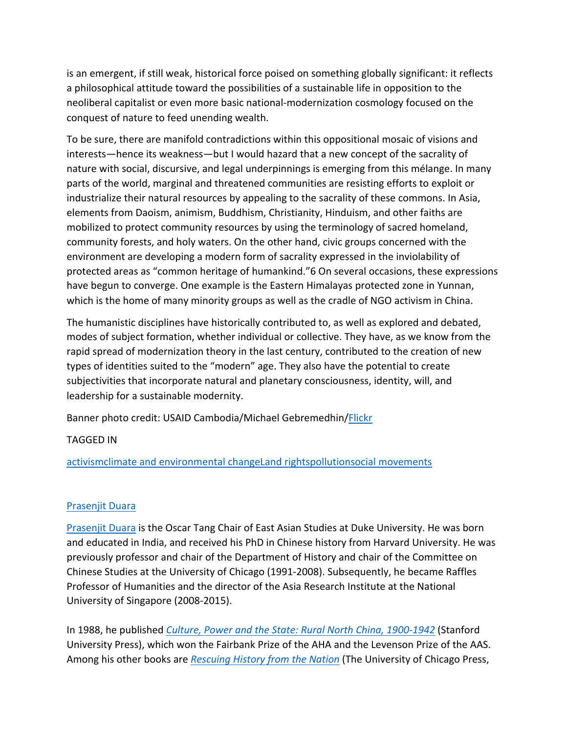is an emergent, if still weak, historical force poised on something globally significant: it reflects a philosophical attitude toward the possibilities of a sustainable life in opposition to the neoliberal capitalist or even more basic national-modernization cosmology focused on the conquest of nature to feed unending wealth.

To be sure, there are manifold contradictions within this oppositional mosaic of visions and interests—hence its weakness—but I would hazard that a new concept of the sacrality of nature with social, discursive, and legal underpinnings is emerging from this mélange. In many parts of the world, marginal and threatened communities are resisting efforts to exploit or industrialize their natural resources by appealing to the sacrality of these commons. In Asia, elements from Daoism, animism, Buddhism, Christianity, Hinduism, and other faiths are mobilized to protect community resources by using the terminology of sacred homeland, community forests, and holy waters. On the other hand, civic groups concerned with the environment are developing a modern form of sacrality expressed in the inviolability of protected areas as "common heritage of humankind." 6 On several occasions, these expressions have begun to converge. One example is the Eastern Himalayas protected zone in Yunnan, which is the home of many minority groups as well as the cradle of NGO activism in China.

The humanistic disciplines have historically contributed to, as well as explored and debated, modes of subject formation, whether individual or collective. They have, as we know from the rapid spread of modernization theory in the last century, contributed to the creation of new types of identities suited to the "modern" age. They also have the potential to create subjectivities that incorporate natural and planetary consciousness, identity, will, and leadership for a sustainable modernity.

Banner photo credit: USAID Cambodia/Michael Gebremedhin/Flickr

## TAGGED IN

activismclimate and environmental changeLand rightspollutionsocial movements

## Prasenjit Duara

Prasenjit Duara is the Oscar Tang Chair of East Asian Studies at Duke University. He was born and educated in India, and received his PhD in Chinese history from Harvard University. He was previously professor and chair of the Department of History and chair of the Committee on Chinese Studies at the University of Chicago (1991-2008). Subsequently, he became Raffles Professor of Humanities and the director of the Asia Research Institute at the National University of Singapore (2008-2015).

In 1988, he published *Culture, Power and the State: Rural North China, 1900-1942* (Stanford University Press), which won the Fairbank Prize of the AHA and the Levenson Prize of the AAS. Among his other books are *Rescuing History from the Nation* (The University of Chicago Press,